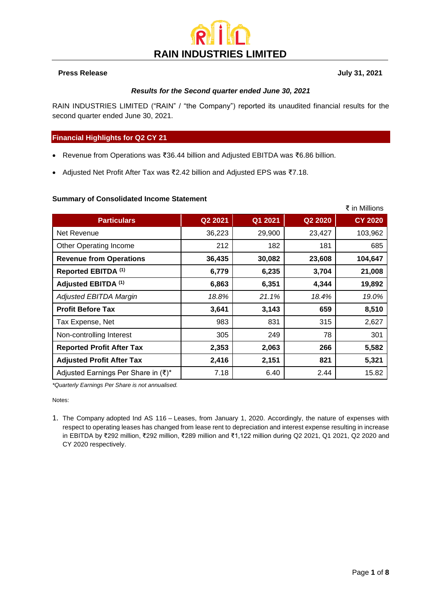# **RAIN INDUSTRIES LIMITED**

#### **Press Release July 31, 2021**

#### *Results for the Second quarter ended June 30, 2021*

RAIN INDUSTRIES LIMITED ("RAIN" / "the Company") reported its unaudited financial results for the second quarter ended June 30, 2021.

#### **Financial Highlights for Q2 CY 21**

- Revenue from Operations was ₹36.44 billion and Adjusted EBITDA was ₹6.86 billion.
- Adjusted Net Profit After Tax was ₹2.42 billion and Adjusted EPS was ₹7.18.

#### **Summary of Consolidated Income Statement**

|                                     |         |         |         | ₹ in Millions  |
|-------------------------------------|---------|---------|---------|----------------|
| <b>Particulars</b>                  | Q2 2021 | Q1 2021 | Q2 2020 | <b>CY 2020</b> |
| Net Revenue                         | 36,223  | 29,900  | 23,427  | 103,962        |
| Other Operating Income              | 212     | 182     | 181     | 685            |
| <b>Revenue from Operations</b>      | 36,435  | 30,082  | 23,608  | 104,647        |
| Reported EBITDA <sup>(1)</sup>      | 6,779   | 6,235   | 3,704   | 21,008         |
| Adjusted EBITDA (1)                 | 6,863   | 6,351   | 4,344   | 19,892         |
| Adjusted EBITDA Margin              | 18.8%   | 21.1%   | 18.4%   | 19.0%          |
| <b>Profit Before Tax</b>            | 3,641   | 3,143   | 659     | 8,510          |
| Tax Expense, Net                    | 983     | 831     | 315     | 2,627          |
| Non-controlling Interest            | 305     | 249     | 78      | 301            |
| <b>Reported Profit After Tax</b>    | 2,353   | 2,063   | 266     | 5,582          |
| <b>Adjusted Profit After Tax</b>    | 2,416   | 2,151   | 821     | 5,321          |
| Adjusted Earnings Per Share in (₹)* | 7.18    | 6.40    | 2.44    | 15.82          |

*\*Quarterly Earnings Per Share is not annualised.*

Notes:

1. The Company adopted Ind AS 116 – Leases, from January 1, 2020. Accordingly, the nature of expenses with respect to operating leases has changed from lease rent to depreciation and interest expense resulting in increase in EBITDA by ₹292 million, ₹292 million, ₹289 million and ₹1,122 million during Q2 2021, Q1 2021, Q2 2020 and CY 2020 respectively.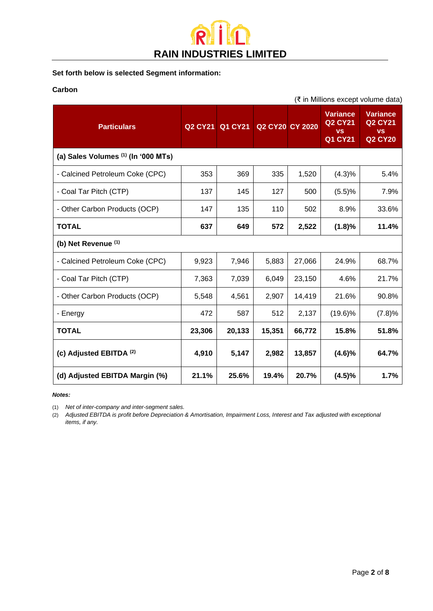

### **Set forth below is selected Segment information:**

#### **Carbon**

| (₹ in Millions except volume data)  |                |         |                        |        |                                                                  |                                                                  |  |
|-------------------------------------|----------------|---------|------------------------|--------|------------------------------------------------------------------|------------------------------------------------------------------|--|
| <b>Particulars</b>                  | <b>Q2 CY21</b> | Q1 CY21 | <b>Q2 CY20 CY 2020</b> |        | <b>Variance</b><br><b>Q2 CY21</b><br><b>VS</b><br><b>Q1 CY21</b> | <b>Variance</b><br><b>Q2 CY21</b><br><b>VS</b><br><b>Q2 CY20</b> |  |
| (a) Sales Volumes (1) (In '000 MTs) |                |         |                        |        |                                                                  |                                                                  |  |
| - Calcined Petroleum Coke (CPC)     | 353            | 369     | 335                    | 1,520  | (4.3)%                                                           | 5.4%                                                             |  |
| - Coal Tar Pitch (CTP)              | 137            | 145     | 127                    | 500    | (5.5)%                                                           | 7.9%                                                             |  |
| - Other Carbon Products (OCP)       | 147            | 135     | 110                    | 502    | 8.9%                                                             | 33.6%                                                            |  |
| <b>TOTAL</b>                        | 637            | 649     | 572                    | 2,522  | (1.8)%                                                           | 11.4%                                                            |  |
| (b) Net Revenue (1)                 |                |         |                        |        |                                                                  |                                                                  |  |
| - Calcined Petroleum Coke (CPC)     | 9,923          | 7,946   | 5,883                  | 27,066 | 24.9%                                                            | 68.7%                                                            |  |
| - Coal Tar Pitch (CTP)              | 7,363          | 7,039   | 6,049                  | 23,150 | 4.6%                                                             | 21.7%                                                            |  |
| - Other Carbon Products (OCP)       | 5,548          | 4,561   | 2,907                  | 14,419 | 21.6%                                                            | 90.8%                                                            |  |
| - Energy                            | 472            | 587     | 512                    | 2,137  | $(19.6)\%$                                                       | (7.8)%                                                           |  |
| <b>TOTAL</b>                        | 23,306         | 20,133  | 15,351                 | 66,772 | 15.8%                                                            | 51.8%                                                            |  |
| (c) Adjusted EBITDA (2)             | 4,910          | 5,147   | 2,982                  | 13,857 | (4.6)%                                                           | 64.7%                                                            |  |
| (d) Adjusted EBITDA Margin (%)      | 21.1%          | 25.6%   | 19.4%                  | 20.7%  | (4.5)%                                                           | 1.7%                                                             |  |

#### *Notes:*

(1) *Net of inter-company and inter-segment sales.*

(2) *Adjusted EBITDA is profit before Depreciation & Amortisation, Impairment Loss, Interest and Tax adjusted with exceptional items, if any.*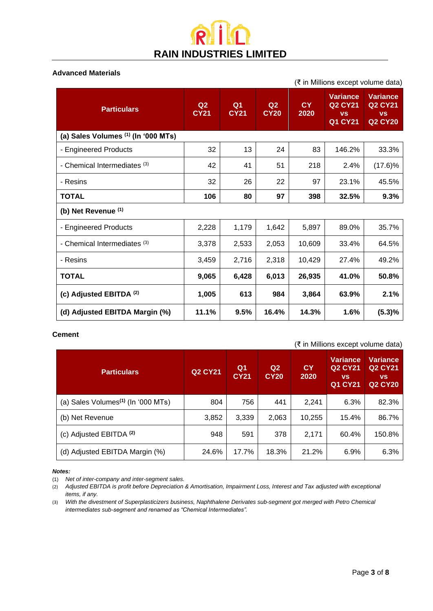### i in **P RAIN INDUSTRIES LIMITED**

#### **Advanced Materials**

| (₹ in Millions except volume data)  |                               |                   |                               |                   |                                                                            |                                                                  |
|-------------------------------------|-------------------------------|-------------------|-------------------------------|-------------------|----------------------------------------------------------------------------|------------------------------------------------------------------|
| <b>Particulars</b>                  | Q <sub>2</sub><br><b>CY21</b> | Q1<br><b>CY21</b> | Q <sub>2</sub><br><b>CY20</b> | <b>CY</b><br>2020 | <b>Variance</b><br>Q <sub>2</sub> CY <sub>21</sub><br><b>VS</b><br>Q1 CY21 | <b>Variance</b><br><b>Q2 CY21</b><br><b>VS</b><br><b>Q2 CY20</b> |
| (a) Sales Volumes (1) (In '000 MTs) |                               |                   |                               |                   |                                                                            |                                                                  |
| - Engineered Products               | 32                            | 13                | 24                            | 83                | 146.2%                                                                     | 33.3%                                                            |
| - Chemical Intermediates (3)        | 42                            | 41                | 51                            | 218               | 2.4%                                                                       | $(17.6)\%$                                                       |
| - Resins                            | 32                            | 26                | 22                            | 97                | 23.1%                                                                      | 45.5%                                                            |
| <b>TOTAL</b>                        | 106                           | 80                | 97                            | 398               | 32.5%                                                                      | 9.3%                                                             |
| (b) Net Revenue (1)                 |                               |                   |                               |                   |                                                                            |                                                                  |
| - Engineered Products               | 2,228                         | 1,179             | 1,642                         | 5,897             | 89.0%                                                                      | 35.7%                                                            |
| - Chemical Intermediates (3)        | 3,378                         | 2,533             | 2,053                         | 10,609            | 33.4%                                                                      | 64.5%                                                            |
| - Resins                            | 3,459                         | 2,716             | 2,318                         | 10,429            | 27.4%                                                                      | 49.2%                                                            |
| <b>TOTAL</b>                        | 9,065                         | 6,428             | 6,013                         | 26,935            | 41.0%                                                                      | 50.8%                                                            |
| (c) Adjusted EBITDA (2)             | 1,005                         | 613               | 984                           | 3,864             | 63.9%                                                                      | 2.1%                                                             |
| (d) Adjusted EBITDA Margin (%)      | 11.1%                         | 9.5%              | 16.4%                         | 14.3%             | 1.6%                                                                       | (5.3)%                                                           |

#### **Cement**

(₹ in Millions except volume data)

| <b>Particulars</b>                             | <b>Q2 CY21</b> | Q <sub>1</sub><br><b>CY21</b> | Q <sub>2</sub><br><b>CY20</b> | <b>CY</b><br>2020 | <b>Variance</b><br><b>Q2 CY21</b><br><b>VS</b><br>Q1 CY21 | Variance<br><b>Q2 CY21</b><br><b>VS</b><br><b>Q2 CY20</b> |
|------------------------------------------------|----------------|-------------------------------|-------------------------------|-------------------|-----------------------------------------------------------|-----------------------------------------------------------|
| (a) Sales Volumes <sup>(1)</sup> (In '000 MTs) | 804            | 756                           | 441                           | 2.241             | 6.3%                                                      | 82.3%                                                     |
| (b) Net Revenue                                | 3,852          | 3,339                         | 2,063                         | 10,255            | 15.4%                                                     | 86.7%                                                     |
| (c) Adjusted EBITDA <sup>(2)</sup>             | 948            | 591                           | 378                           | 2,171             | 60.4%                                                     | 150.8%                                                    |
| (d) Adjusted EBITDA Margin (%)                 | 24.6%          | 17.7%                         | 18.3%                         | 21.2%             | 6.9%                                                      | 6.3%                                                      |

#### *Notes:*

<sup>(1)</sup> *Net of inter-company and inter-segment sales.*

<sup>(2)</sup> *Adjusted EBITDA is profit before Depreciation & Amortisation, Impairment Loss, Interest and Tax adjusted with exceptional items, if any.*

<sup>(3)</sup> *With the divestment of Superplasticizers business, Naphthalene Derivates sub-segment got merged with Petro Chemical intermediates sub-segment and renamed as "Chemical Intermediates".*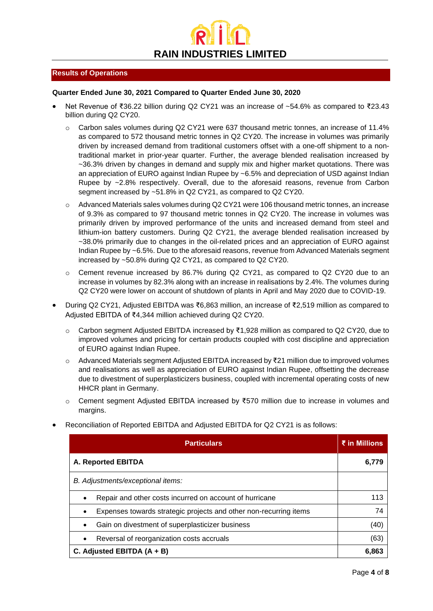

#### **Results of Operations**

#### **Quarter Ended June 30, 2021 Compared to Quarter Ended June 30, 2020**

- Net Revenue of ₹36.22 billion during Q2 CY21 was an increase of ~54.6% as compared to ₹23.43 billion during Q2 CY20.
	- Carbon sales volumes during Q2 CY21 were 637 thousand metric tonnes, an increase of 11.4% as compared to 572 thousand metric tonnes in Q2 CY20. The increase in volumes was primarily driven by increased demand from traditional customers offset with a one-off shipment to a nontraditional market in prior-year quarter. Further, the average blended realisation increased by ~36.3% driven by changes in demand and supply mix and higher market quotations. There was an appreciation of EURO against Indian Rupee by ~6.5% and depreciation of USD against Indian Rupee by ~2.8% respectively. Overall, due to the aforesaid reasons, revenue from Carbon segment increased by ~51.8% in Q2 CY21, as compared to Q2 CY20.
	- $\circ$  Advanced Materials sales volumes during Q2 CY21 were 106 thousand metric tonnes, an increase of 9.3% as compared to 97 thousand metric tonnes in Q2 CY20. The increase in volumes was primarily driven by improved performance of the units and increased demand from steel and lithium-ion battery customers. During Q2 CY21, the average blended realisation increased by ~38.0% primarily due to changes in the oil-related prices and an appreciation of EURO against Indian Rupee by ~6.5%. Due to the aforesaid reasons, revenue from Advanced Materials segment increased by ~50.8% during Q2 CY21, as compared to Q2 CY20.
	- o Cement revenue increased by 86.7% during Q2 CY21, as compared to Q2 CY20 due to an increase in volumes by 82.3% along with an increase in realisations by 2.4%. The volumes during Q2 CY20 were lower on account of shutdown of plants in April and May 2020 due to COVID-19.
- During Q2 CY21, Adjusted EBITDA was ₹6,863 million, an increase of ₹2,519 million as compared to Adjusted EBITDA of ₹4,344 million achieved during Q2 CY20.
	- o Carbon segment Adjusted EBITDA increased by ₹1,928 million as compared to Q2 CY20, due to improved volumes and pricing for certain products coupled with cost discipline and appreciation of EURO against Indian Rupee.
	- o Advanced Materials segment Adjusted EBITDA increased by ₹21 million due to improved volumes and realisations as well as appreciation of EURO against Indian Rupee, offsetting the decrease due to divestment of superplasticizers business, coupled with incremental operating costs of new HHCR plant in Germany.
	- o Cement segment Adjusted EBITDA increased by ₹570 million due to increase in volumes and margins.

| <b>Particulars</b>                                                   | ₹ in Millions |
|----------------------------------------------------------------------|---------------|
| A. Reported EBITDA                                                   | 6.779         |
| B. Adjustments/exceptional items:                                    |               |
| Repair and other costs incurred on account of hurricane<br>$\bullet$ | 113           |
| Expenses towards strategic projects and other non-recurring items    | 74            |
| Gain on divestment of superplasticizer business                      | (40)          |
| Reversal of reorganization costs accruals<br>$\bullet$               | (63)          |
| C. Adjusted EBITDA $(A + B)$                                         | 6.863         |

• Reconciliation of Reported EBITDA and Adjusted EBITDA for Q2 CY21 is as follows: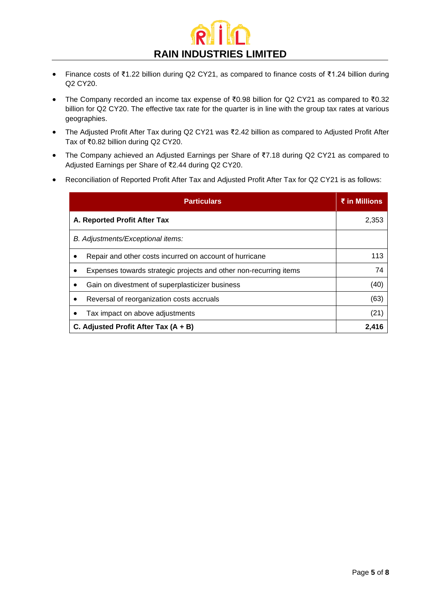

- Finance costs of ₹1.22 billion during Q2 CY21, as compared to finance costs of ₹1.24 billion during Q2 CY20.
- The Company recorded an income tax expense of ₹0.98 billion for Q2 CY21 as compared to ₹0.32 billion for Q2 CY20. The effective tax rate for the quarter is in line with the group tax rates at various geographies.
- The Adjusted Profit After Tax during Q2 CY21 was ₹2.42 billion as compared to Adjusted Profit After Tax of ₹0.82 billion during Q2 CY20.
- The Company achieved an Adjusted Earnings per Share of ₹7.18 during Q2 CY21 as compared to Adjusted Earnings per Share of ₹2.44 during Q2 CY20.
- Reconciliation of Reported Profit After Tax and Adjusted Profit After Tax for Q2 CY21 is as follows:

| <b>Particulars</b>                                                | ₹ in Millions |
|-------------------------------------------------------------------|---------------|
| A. Reported Profit After Tax                                      | 2,353         |
| B. Adjustments/Exceptional items:                                 |               |
| Repair and other costs incurred on account of hurricane           | 113           |
| Expenses towards strategic projects and other non-recurring items | 74            |
| Gain on divestment of superplasticizer business                   | (40)          |
| Reversal of reorganization costs accruals                         | (63)          |
| Tax impact on above adjustments                                   | (21)          |
| C. Adjusted Profit After Tax $(A + B)$                            | 2.416         |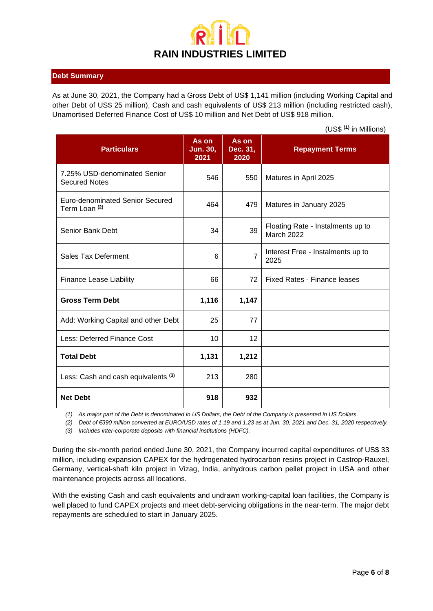## **RAIN INDUSTRIES LIMITED**

#### **Debt Summary**

As at June 30, 2021, the Company had a Gross Debt of US\$ 1,141 million (including Working Capital and other Debt of US\$ 25 million), Cash and cash equivalents of US\$ 213 million (including restricted cash), Unamortised Deferred Finance Cost of US\$ 10 million and Net Debt of US\$ 918 million.

(US\$ **(1)** in Millions)

| <b>Particulars</b>                                          | As on<br><b>Jun. 30,</b><br>2021 | As on<br>Dec. 31,<br>2020 | <b>Repayment Terms</b>                                 |
|-------------------------------------------------------------|----------------------------------|---------------------------|--------------------------------------------------------|
| 7.25% USD-denominated Senior<br><b>Secured Notes</b>        | 546                              | 550                       | Matures in April 2025                                  |
| Euro-denominated Senior Secured<br>Term Loan <sup>(2)</sup> | 464                              | 479                       | Matures in January 2025                                |
| Senior Bank Debt                                            | 34                               | 39                        | Floating Rate - Instalments up to<br><b>March 2022</b> |
| <b>Sales Tax Deferment</b>                                  | 6                                | $\overline{7}$            | Interest Free - Instalments up to<br>2025              |
| <b>Finance Lease Liability</b>                              | 66                               | 72                        | Fixed Rates - Finance leases                           |
| <b>Gross Term Debt</b>                                      | 1,116                            | 1,147                     |                                                        |
| Add: Working Capital and other Debt                         | 25                               | 77                        |                                                        |
| Less: Deferred Finance Cost                                 | 10                               | 12                        |                                                        |
| <b>Total Debt</b>                                           | 1,131                            | 1,212                     |                                                        |
| Less: Cash and cash equivalents (3)                         | 213                              | 280                       |                                                        |
| <b>Net Debt</b>                                             | 918                              | 932                       |                                                        |

*(1) As major part of the Debt is denominated in US Dollars, the Debt of the Company is presented in US Dollars.*

*(2) Debt of €390 million converted at EURO/USD rates of 1.19 and 1.23 as at Jun. 30, 2021 and Dec. 31, 2020 respectively.*

*(3) Includes inter-corporate deposits with financial institutions (HDFC).*

During the six-month period ended June 30, 2021, the Company incurred capital expenditures of US\$ 33 million, including expansion CAPEX for the hydrogenated hydrocarbon resins project in Castrop-Rauxel, Germany, vertical-shaft kiln project in Vizag, India, anhydrous carbon pellet project in USA and other maintenance projects across all locations.

With the existing Cash and cash equivalents and undrawn working-capital loan facilities, the Company is well placed to fund CAPEX projects and meet debt-servicing obligations in the near-term. The major debt repayments are scheduled to start in January 2025.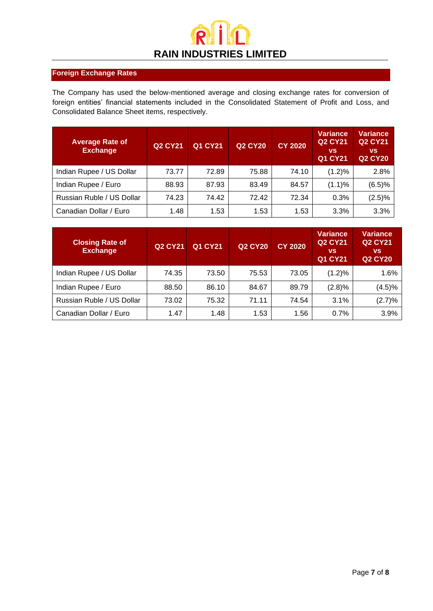

#### **Foreign Exchange Rates**

The Company has used the below-mentioned average and closing exchange rates for conversion of foreign entities' financial statements included in the Consolidated Statement of Profit and Loss, and Consolidated Balance Sheet items, respectively.

| <b>Average Rate of</b><br><b>Exchange</b> | <b>Q2 CY21</b> | <b>Q1 CY21</b> | <b>Q2 CY20</b> | <b>CY 2020</b> | <b>Variance</b><br><b>Q2 CY21</b><br><b>VS</b><br><b>Q1 CY21</b> | <b>Variance</b><br><b>Q2 CY21</b><br><b>VS</b><br><b>Q2 CY20</b> |
|-------------------------------------------|----------------|----------------|----------------|----------------|------------------------------------------------------------------|------------------------------------------------------------------|
| Indian Rupee / US Dollar                  | 73.77          | 72.89          | 75.88          | 74.10          | (1.2)%                                                           | 2.8%                                                             |
| Indian Rupee / Euro                       | 88.93          | 87.93          | 83.49          | 84.57          | (1.1)%                                                           | (6.5)%                                                           |
| Russian Ruble / US Dollar                 | 74.23          | 74.42          | 72.42          | 72.34          | 0.3%                                                             | (2.5)%                                                           |
| Canadian Dollar / Euro                    | 1.48           | 1.53           | 1.53           | 1.53           | 3.3%                                                             | 3.3%                                                             |

| <b>Closing Rate of</b><br><b>Exchange</b> | <b>Q2 CY21</b> | Q1 CY21 | <b>Q2 CY20</b> | <b>CY 2020</b> | <b>Variance</b><br><b>Q2 CY21</b><br><b>VS</b><br><b>Q1 CY21</b> | <b>Variance</b><br><b>Q2 CY21</b><br><b>VS</b><br><b>Q2 CY20</b> |
|-------------------------------------------|----------------|---------|----------------|----------------|------------------------------------------------------------------|------------------------------------------------------------------|
| Indian Rupee / US Dollar                  | 74.35          | 73.50   | 75.53          | 73.05          | $(1.2)\%$                                                        | 1.6%                                                             |
| Indian Rupee / Euro                       | 88.50          | 86.10   | 84.67          | 89.79          | (2.8)%                                                           | (4.5)%                                                           |
| Russian Ruble / US Dollar                 | 73.02          | 75.32   | 71.11          | 74.54          | 3.1%                                                             | (2.7)%                                                           |
| Canadian Dollar / Euro                    | 1.47           | 1.48    | 1.53           | 1.56           | 0.7%                                                             | 3.9%                                                             |